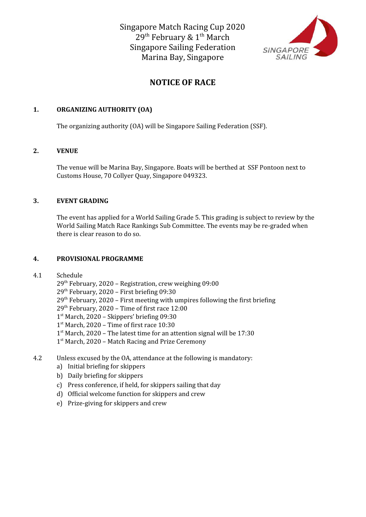

# **NOTICE OF RACE**

## **1. ORGANIZING AUTHORITY (OA)**

The organizing authority (OA) will be Singapore Sailing Federation (SSF).

## **2. VENUE**

The venue will be Marina Bay, Singapore. Boats will be berthed at SSF Pontoon next to Customs House, 70 Collyer Quay, Singapore 049323.

## **3. EVENT GRADING**

The event has applied for a World Sailing Grade 5. This grading is subject to review by the World Sailing Match Race Rankings Sub Committee. The events may be re-graded when there is clear reason to do so.

# **4. PROVISIONAL PROGRAMME**

## 4.1 Schedule

29<sup>th</sup> February, 2020 - Registration, crew weighing 09:00

29 th February, 2020 – First briefing 09:30

 $29<sup>th</sup>$  February, 2020 – First meeting with umpires following the first briefing

29 th February, 2020 – Time of first race 12:00

1 st March, 2020 – Skippers' briefing 09:30

1 st March, 2020 – Time of first race 10:30

1<sup>st</sup> March, 2020 - The latest time for an attention signal will be 17:30

1<sup>st</sup> March, 2020 - Match Racing and Prize Ceremony

- 4.2 Unless excused by the OA, attendance at the following is mandatory:
	- a) Initial briefing for skippers
	- b) Daily briefing for skippers
	- c) Press conference, if held, for skippers sailing that day
	- d) Official welcome function for skippers and crew
	- e) Prize-giving for skippers and crew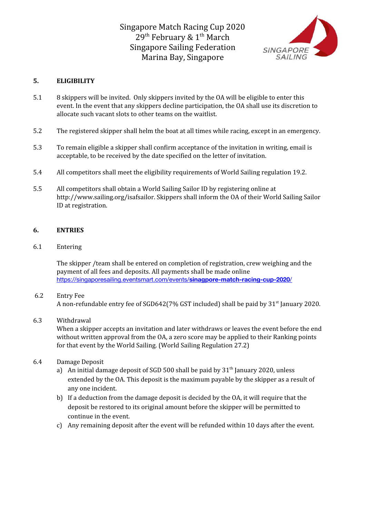

# **5. ELIGIBILITY**

- 5.1 8 skippers will be invited. Only skippers invited by the OA will be eligible to enter this event. In the event that any skippers decline participation, the OA shall use its discretion to allocate such vacant slots to other teams on the waitlist.
- 5.2 The registered skipper shall helm the boat at all times while racing, except in an emergency.
- 5.3 To remain eligible a skipper shall confirm acceptance of the invitation in writing, email is acceptable, to be received by the date specified on the letter of invitation.
- 5.4 All competitors shall meet the eligibility requirements of World Sailing regulation 19.2.
- 5.5 All competitors shall obtain a World Sailing Sailor ID by registering online at http://www.sailing.org/isafsailor. Skippers shall inform the OA of their World Sailing Sailor ID at registration.

## **6. ENTRIES**

6.1 Entering

The skipper /team shall be entered on completion of registration, crew weighing and the payment of all fees and deposits. All payments shall be made online [https://singaporesailing.eventsmart.com/events/](https://singaporesailing.eventsmart.com/events/sinagpore-match-racing-cup-2020/)**[sinagpore-match-racing-cup-2020](https://singaporesailing.eventsmart.com/events/sinagpore-match-racing-cup-2020/)**[/](https://singaporesailing.eventsmart.com/events/sinagpore-match-racing-cup-2020/)

## 6.2 Entry Fee

A non-refundable entry fee of SGD642(7% GST included) shall be paid by 31<sup>st</sup> January 2020.

## 6.3 Withdrawal

When a skipper accepts an invitation and later withdraws or leaves the event before the end without written approval from the OA, a zero score may be applied to their Ranking points for that event by the World Sailing. (World Sailing Regulation 27.2)

## 6.4 Damage Deposit

- a) An initial damage deposit of SGD 500 shall be paid by  $31<sup>th</sup>$  January 2020, unless extended by the OA. This deposit is the maximum payable by the skipper as a result of any one incident.
- b) If a deduction from the damage deposit is decided by the OA, it will require that the deposit be restored to its original amount before the skipper will be permitted to continue in the event.
- c) Any remaining deposit after the event will be refunded within 10 days after the event.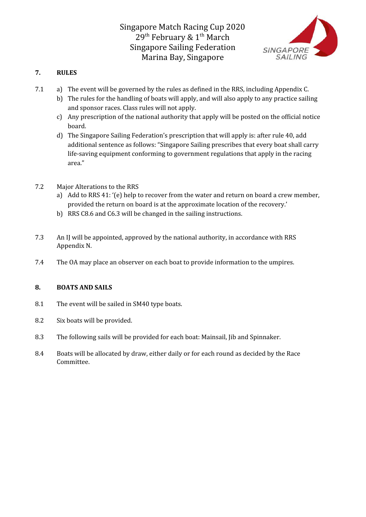

# **7. RULES**

- 7.1 a) The event will be governed by the rules as defined in the RRS, including Appendix C.
	- b) The rules for the handling of boats will apply, and will also apply to any practice sailing and sponsor races. Class rules will not apply.
	- c) Any prescription of the national authority that apply will be posted on the official notice board.
	- d) The Singapore Sailing Federation's prescription that will apply is: after rule 40, add additional sentence as follows: "Singapore Sailing prescribes that every boat shall carry life-saving equipment conforming to government regulations that apply in the racing area."
- 7.2 Major Alterations to the RRS
	- a) Add to RRS 41: '(e) help to recover from the water and return on board a crew member, provided the return on board is at the approximate location of the recovery.'
	- b) RRS C8.6 and C6.3 will be changed in the sailing instructions.
- 7.3 An IJ will be appointed, approved by the national authority, in accordance with RRS Appendix N.
- 7.4 The OA may place an observer on each boat to provide information to the umpires.

# **8. BOATS AND SAILS**

- 8.1 The event will be sailed in SM40 type boats.
- 8.2 Six boats will be provided.
- 8.3 The following sails will be provided for each boat: Mainsail, Jib and Spinnaker.
- 8.4 Boats will be allocated by draw, either daily or for each round as decided by the Race Committee.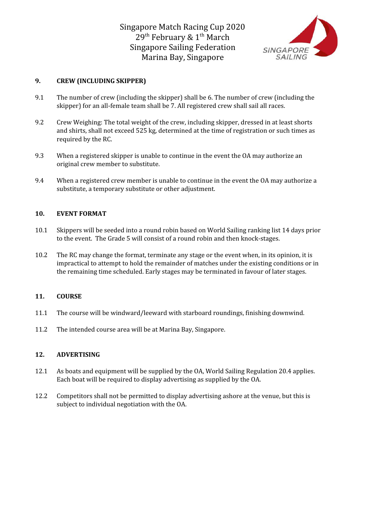

# **9. CREW (INCLUDING SKIPPER)**

- 9.1 The number of crew (including the skipper) shall be 6. The number of crew (including the skipper) for an all-female team shall be 7. All registered crew shall sail all races.
- 9.2 Crew Weighing: The total weight of the crew, including skipper, dressed in at least shorts and shirts, shall not exceed 525 kg, determined at the time of registration or such times as required by the RC.
- 9.3 When a registered skipper is unable to continue in the event the OA may authorize an original crew member to substitute.
- 9.4 When a registered crew member is unable to continue in the event the OA may authorize a substitute, a temporary substitute or other adjustment.

#### **10. EVENT FORMAT**

- 10.1 Skippers will be seeded into a round robin based on World Sailing ranking list 14 days prior to the event. The Grade 5 will consist of a round robin and then knock-stages.
- 10.2 The RC may change the format, terminate any stage or the event when, in its opinion, it is impractical to attempt to hold the remainder of matches under the existing conditions or in the remaining time scheduled. Early stages may be terminated in favour of later stages.

## **11. COURSE**

- 11.1 The course will be windward/leeward with starboard roundings, finishing downwind.
- 11.2 The intended course area will be at Marina Bay, Singapore.

## **12. ADVERTISING**

- 12.1 As boats and equipment will be supplied by the OA, World Sailing Regulation 20.4 applies. Each boat will be required to display advertising as supplied by the OA.
- 12.2 Competitors shall not be permitted to display advertising ashore at the venue, but this is subject to individual negotiation with the OA.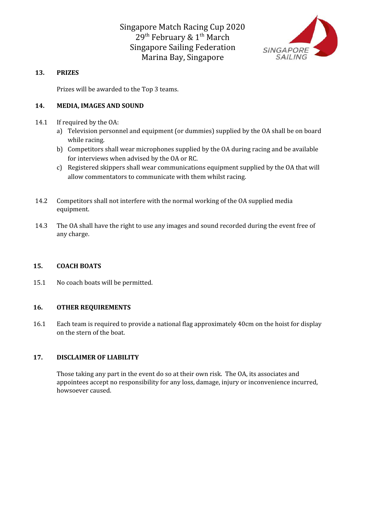

# **13. PRIZES**

Prizes will be awarded to the Top 3 teams.

# **14. MEDIA, IMAGES AND SOUND**

- 14.1 If required by the OA:
	- a) Television personnel and equipment (or dummies) supplied by the OA shall be on board while racing.
	- b) Competitors shall wear microphones supplied by the OA during racing and be available for interviews when advised by the OA or RC.
	- c) Registered skippers shall wear communications equipment supplied by the OA that will allow commentators to communicate with them whilst racing.
- 14.2 Competitors shall not interfere with the normal working of the OA supplied media equipment.
- 14.3 The OA shall have the right to use any images and sound recorded during the event free of any charge.

## **15. COACH BOATS**

15.1 No coach boats will be permitted.

## **16. OTHER REQUIREMENTS**

16.1 Each team is required to provide a national flag approximately 40cm on the hoist for display on the stern of the boat.

# **17. DISCLAIMER OF LIABILITY**

Those taking any part in the event do so at their own risk. The OA, its associates and appointees accept no responsibility for any loss, damage, injury or inconvenience incurred, howsoever caused.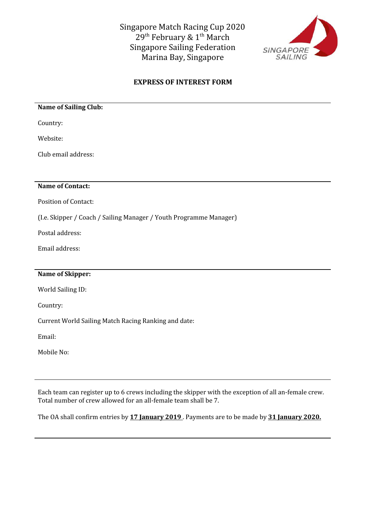

# **EXPRESS OF INTEREST FORM**

## **Name of Sailing Club:**

Country:

Website:

Club email address:

# **Name of Contact:**

Position of Contact:

(I.e. Skipper / Coach / Sailing Manager / Youth Programme Manager)

Postal address:

Email address:

# **Name of Skipper:**

World Sailing ID:

Country:

Current World Sailing Match Racing Ranking and date:

Email:

Mobile No:

Each team can register up to 6 crews including the skipper with the exception of all an-female crew. Total number of crew allowed for an all-female team shall be 7.

The OA shall confirm entries by **17 January 2019** . Payments are to be made by **31 January 2020.**